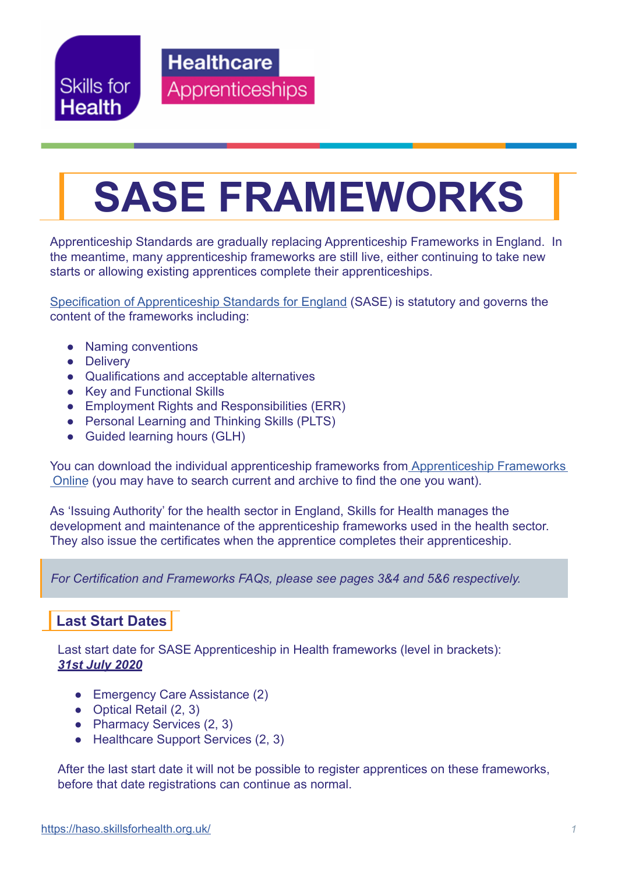Skills for **Health** 

**Healthcare Apprenticeships** 

# **SASE FRAMEWORKS**

Apprenticeship Standards are gradually replacing Apprenticeship Frameworks in England. In the meantime, many apprenticeship frameworks are still live, either continuing to take new starts or allowing existing apprentices complete their apprenticeships.

[Specification of Apprenticeship Standards for England](https://acecerts.co.uk/web/wp-content/uploads/2013/06/Modified-SASE-February-2015.pdf) (SASE) is statutory and governs the content of the frameworks including:

- Naming conventions
- Delivery
- Qualifications and acceptable alternatives
- Key and Functional Skills
- Employment Rights and Responsibilities (ERR)
- Personal Learning and Thinking Skills (PLTS)
- Guided learning hours (GLH)

You can download the individual apprenticeship frameworks from [Apprenticeship Frameworks](https://acecerts.co.uk/web/wp-content/uploads/2013/06/Modified-SASE-February-2015.pdf) [Online](https://acecerts.co.uk/web/wp-content/uploads/2013/06/Modified-SASE-February-2015.pdf) (you may have to search current and archive to find the one you want).

As 'Issuing Authority' for the health sector in England, Skills for Health manages the development and maintenance of the apprenticeship frameworks used in the health sector. They also issue the certificates when the apprentice completes their apprenticeship.

*For Certification and Frameworks FAQs, please see pages 3&4 and 5&6 respectively.*

### **Last Start Dates**

Last start date for SASE Apprenticeship in Health frameworks (level in brackets): *31st July 2020*

- Emergency Care Assistance (2)
- Optical Retail (2, 3)
- Pharmacy Services (2, 3)
- Healthcare Support Services (2, 3)

After the last start date it will not be possible to register apprentices on these frameworks, before that date registrations can continue as normal.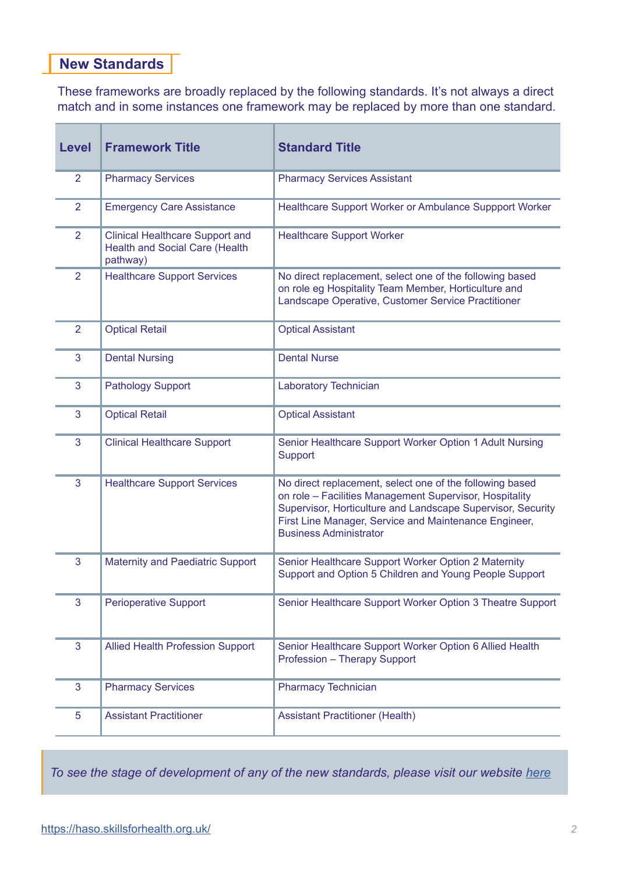### **New Standards**

These frameworks are broadly replaced by the following standards. It's not always a direct match and in some instances one framework may be replaced by more than one standard.

| <b>Level</b>   | <b>Framework Title</b>                                                                      | <b>Standard Title</b>                                                                                                                                                                                                                                                        |
|----------------|---------------------------------------------------------------------------------------------|------------------------------------------------------------------------------------------------------------------------------------------------------------------------------------------------------------------------------------------------------------------------------|
| $\overline{2}$ | <b>Pharmacy Services</b>                                                                    | <b>Pharmacy Services Assistant</b>                                                                                                                                                                                                                                           |
| $\overline{2}$ | <b>Emergency Care Assistance</b>                                                            | Healthcare Support Worker or Ambulance Suppport Worker                                                                                                                                                                                                                       |
| 2              | <b>Clinical Healthcare Support and</b><br><b>Health and Social Care (Health</b><br>pathway) | <b>Healthcare Support Worker</b>                                                                                                                                                                                                                                             |
| $\overline{2}$ | <b>Healthcare Support Services</b>                                                          | No direct replacement, select one of the following based<br>on role eg Hospitality Team Member, Horticulture and<br>Landscape Operative, Customer Service Practitioner                                                                                                       |
| $\overline{2}$ | <b>Optical Retail</b>                                                                       | <b>Optical Assistant</b>                                                                                                                                                                                                                                                     |
| 3              | <b>Dental Nursing</b>                                                                       | <b>Dental Nurse</b>                                                                                                                                                                                                                                                          |
| 3              | <b>Pathology Support</b>                                                                    | Laboratory Technician                                                                                                                                                                                                                                                        |
| 3              | <b>Optical Retail</b>                                                                       | <b>Optical Assistant</b>                                                                                                                                                                                                                                                     |
| 3              | <b>Clinical Healthcare Support</b>                                                          | Senior Healthcare Support Worker Option 1 Adult Nursing<br>Support                                                                                                                                                                                                           |
| 3              | <b>Healthcare Support Services</b>                                                          | No direct replacement, select one of the following based<br>on role - Facilities Management Supervisor, Hospitality<br>Supervisor, Horticulture and Landscape Supervisor, Security<br>First Line Manager, Service and Maintenance Engineer,<br><b>Business Administrator</b> |
| 3              | <b>Maternity and Paediatric Support</b>                                                     | Senior Healthcare Support Worker Option 2 Maternity<br>Support and Option 5 Children and Young People Support                                                                                                                                                                |
| 3              | <b>Perioperative Support</b>                                                                | Senior Healthcare Support Worker Option 3 Theatre Support                                                                                                                                                                                                                    |
| 3              | <b>Allied Health Profession Support</b>                                                     | Senior Healthcare Support Worker Option 6 Allied Health<br>Profession - Therapy Support                                                                                                                                                                                      |
| 3              | <b>Pharmacy Services</b>                                                                    | <b>Pharmacy Technician</b>                                                                                                                                                                                                                                                   |
| 5              | <b>Assistant Practitioner</b>                                                               | <b>Assistant Practitioner (Health)</b>                                                                                                                                                                                                                                       |

To see the stage of development of any of the new standards, please visit our website [here](https://haso.skillsforhealth.org.uk/)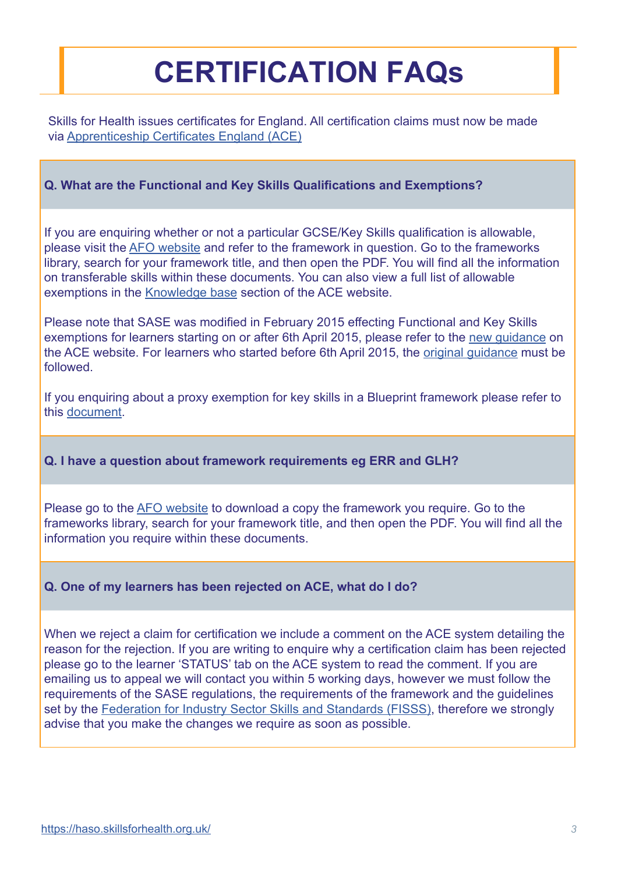# **CERTIFICATION FAQs**

Skills for Health issues certificates for England. All certification claims must now be made via [Apprenticeship Certificates England \(ACE\)](https://acecerts.co.uk/web/)

### **Q. What are the Functional and Key Skills Qualifications and Exemptions?**

If you are enquiring whether or not a particular GCSE/Key Skills qualification is allowable, please visit the [AFO website](http://www.afo.sscalliance.org/) and refer to the framework in question. Go to the frameworks library, search for your framework title, and then open the PDF. You will find all the information on transferable skills within these documents. You can also view a full list of allowable exemptions in the [Knowledge base](https://acecerts.co.uk/web/knowledge-base) section of the ACE website.

Please note that SASE was modified in February 2015 effecting Functional and Key Skills exemptions for learners starting on or after 6th April 2015, please refer to the [new guidance](https://acecerts.co.uk/web/wp-content/uploads/2013/06/ACE-Transferable-Skills-April-2015-New-starts-from-6th-April-20152.pdf) on the ACE website. For learners who started before 6th April 2015, the [original guidance](https://acecerts.co.uk/web/wp-content/uploads/2013/06/ACE-Transferable-Skills-Feb-2015-V4-Starts-up-to-5th-April-2015.pdf) must be followed.

If you enquiring about a proxy exemption for key skills in a Blueprint framework please refer to this [document](http://www.skillsforhealth.org.uk/images/standards/apprenticeship-frameworks/england/Proxy_exemptions_for_key_skills_-_qualification_list.pdf).

### **Q. I have a question about framework requirements eg ERR and GLH?**

Please go to the [AFO website](http://www.afo.sscalliance.org/) to download a copy the framework you require. Go to the frameworks library, search for your framework title, and then open the PDF. You will find all the information you require within these documents.

### **Q. One of my learners has been rejected on ACE, what do I do?**

When we reject a claim for certification we include a comment on the ACE system detailing the reason for the rejection. If you are writing to enquire why a certification claim has been rejected please go to the learner 'STATUS' tab on the ACE system to read the comment. If you are emailing us to appeal we will contact you within 5 working days, however we must follow the requirements of the SASE regulations, the requirements of the framework and the guidelines set by the [Federation for Industry Sector Skills and Standards \(FISSS\)](http://www.sscalliance.org/), therefore we strongly advise that you make the changes we require as soon as possible.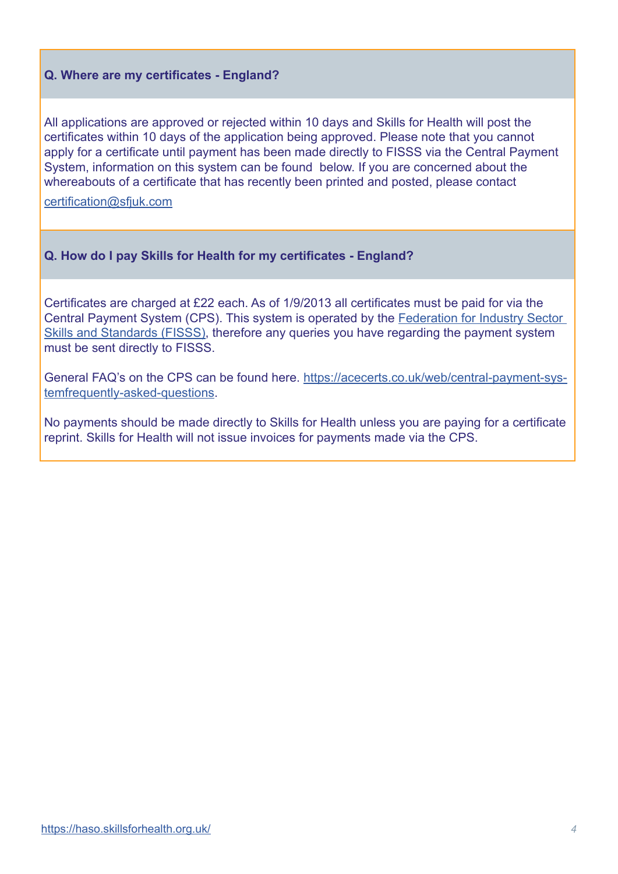### **Q. Where are my certificates - England?**

All applications are approved or rejected within 10 days and Skills for Health will post the certificates within 10 days of the application being approved. Please note that you cannot apply for a certificate until payment has been made directly to FISSS via the Central Payment System, information on this system can be found below. If you are concerned about the whereabouts of a certificate that has recently been printed and posted, please contact

[certification@sfjuk.com](mailto:certification%40sfjuk.com%0D?subject=)

### **Q. How do I pay Skills for Health for my certificates - England?**

Certificates are charged at £22 each. As of 1/9/2013 all certificates must be paid for via the Central Payment System (CPS). This system is operated by the [Federation for Industry Sector](http://www.sscalliance.org/)  [Skills and Standards \(FISSS\),](http://www.sscalliance.org/) therefore any queries you have regarding the payment system must be sent directly to FISSS.

General FAQ's on the CPS can be found here. [https://acecerts.co.uk/web/central-payment-sys](https://acecerts.co.uk/web/central-payment-system-frequently-asked-questions)[temfrequently-asked-questions.](https://acecerts.co.uk/web/central-payment-system-frequently-asked-questions)

No payments should be made directly to Skills for Health unless you are paying for a certificate reprint. Skills for Health will not issue invoices for payments made via the CPS.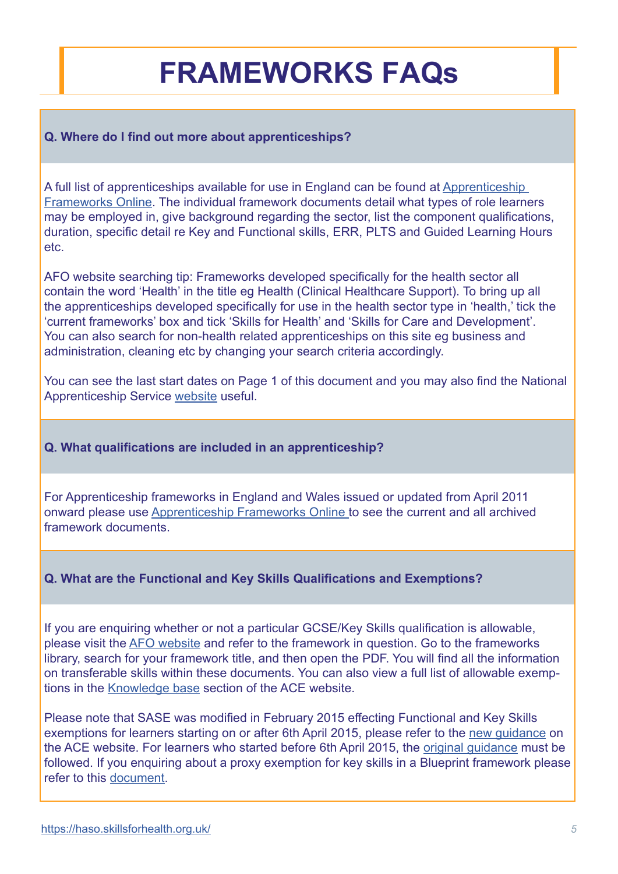## **FRAMEWORKS FAQs**

### **Q. Where do I find out more about apprenticeships?**

A full list of apprenticeships available for use in England can be found at [Apprenticeship](http://www.afo.sscalliance.org/)  [Frameworks Online.](http://www.afo.sscalliance.org/) The individual framework documents detail what types of role learners may be employed in, give background regarding the sector, list the component qualifications, duration, specific detail re Key and Functional skills, ERR, PLTS and Guided Learning Hours etc.

AFO website searching tip: Frameworks developed specifically for the health sector all contain the word 'Health' in the title eg Health (Clinical Healthcare Support). To bring up all the apprenticeships developed specifically for use in the health sector type in 'health,' tick the 'current frameworks' box and tick 'Skills for Health' and 'Skills for Care and Development'. You can also search for non-health related apprenticeships on this site eg business and administration, cleaning etc by changing your search criteria accordingly.

You can see the last start dates on Page 1 of this document and you may also find the National Apprenticeship Service [website](http://www.apprenticeships.org.uk/) useful.

### **Q. What qualifications are included in an apprenticeship?**

For Apprenticeship frameworks in England and Wales issued or updated from April 2011 onward please use [Apprenticeship Frameworks Online](http://Apprenticeship Frameworks Online ) to see the current and all archived framework documents.

### **Q. What are the Functional and Key Skills Qualifications and Exemptions?**

If you are enquiring whether or not a particular GCSE/Key Skills qualification is allowable, please visit the [AFO website](http://www.afo.sscalliance.org/) and refer to the framework in question. Go to the frameworks library, search for your framework title, and then open the PDF. You will find all the information on transferable skills within these documents. You can also view a full list of allowable exemptions in the [Knowledge base](https://acecerts.co.uk/web/knowledge-base) section of the ACE website.

Please note that SASE was modified in February 2015 effecting Functional and Key Skills exemptions for learners starting on or after 6th April 2015, please refer to the [new guidance](https://acecerts.co.uk/web/wp-content/uploads/2013/06/ACE-Transferable-Skills-April-2015-New-starts-from-6th-April-20152.pdf) on the ACE website. For learners who started before 6th April 2015, the [original guidance](https://acecerts.co.uk/web/wp-content/uploads/2013/06/ACE-Transferable-Skills-Feb-2015-V4-Starts-up-to-5th-April-2015.pdf) must be followed. If you enquiring about a proxy exemption for key skills in a Blueprint framework please refer to this [document.](http://www.skillsforhealth.org.uk/images/standards/apprenticeship-frameworks/england/Proxy_exemptions_for_key_skills_-_qualification_list.pdf)